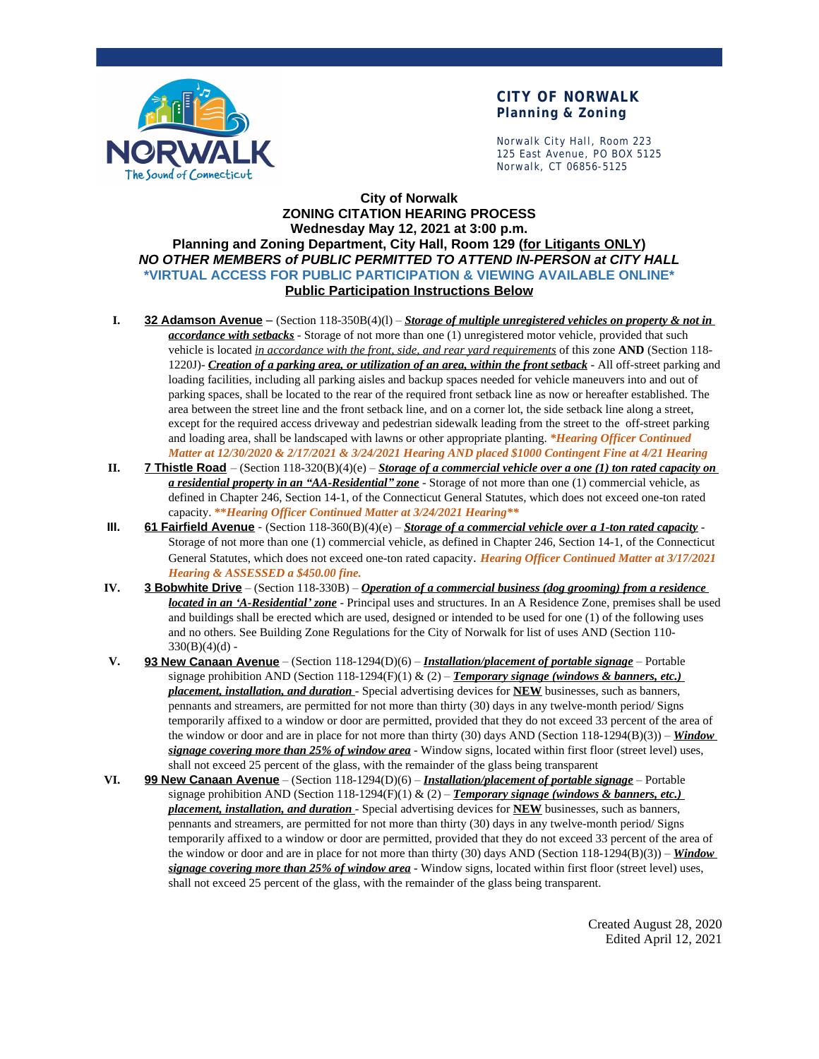

## **CITY OF NORWALK Planning & Zoning**

Norwalk City Hall, Room 223 125 East Avenue, PO BOX 5125 Norwalk, CT 06856-5125

## **City of Norwalk ZONING CITATION HEARING PROCESS Wednesday May 12, 2021 at 3:00 p.m. Planning and Zoning Department, City Hall, Room 129 (for Litigants ONLY)** *NO OTHER MEMBERS of PUBLIC PERMITTED TO ATTEND IN-PERSON at CITY HALL* **\*VIRTUAL ACCESS FOR PUBLIC PARTICIPATION & VIEWING AVAILABLE ONLINE\* Public Participation Instructions Below**

- **I. 32 Adamson Avenue** (Section 118-350B(4)(l) *Storage of multiple unregistered vehicles on property & not in accordance with setbacks* - Storage of not more than one (1) unregistered motor vehicle, provided that such vehicle is located *in accordance with the front, side, and rear yard requirements* of this zone **AND** (Section 118- 1220J)- *Creation of a parking area, or utilization of an area, within the front setback* - All off-street parking and loading facilities, including all parking aisles and backup spaces needed for vehicle maneuvers into and out of parking spaces, shall be located to the rear of the required front setback line as now or hereafter established. The area between the street line and the front setback line, and on a corner lot, the side setback line along a street, except for the required access driveway and pedestrian sidewalk leading from the street to the off-street parking and loading area, shall be landscaped with lawns or other appropriate planting. *\*Hearing Officer Continued Matter at 12/30/2020 & 2/17/2021 & 3/24/2021 Hearing AND placed \$1000 Contingent Fine at 4/21 Hearing*
- **II. 7 Thistle Road** (Section 118-320(B)(4)(e) *Storage of a commercial vehicle over a one (1) ton rated capacity on a residential property in an "AA-Residential" zone* - Storage of not more than one (1) commercial vehicle, as defined in Chapter 246, Section 14-1, of the Connecticut General Statutes, which does not exceed one-ton rated capacity. **\*\****Hearing Officer Continued Matter at 3/24/2021 Hearing\*\**
- **III. 61 Fairfield Avenue** (Section 118-360(B)(4)(e) *Storage of a commercial vehicle over a 1-ton rated capacity* Storage of not more than one (1) commercial vehicle, as defined in Chapter 246, Section 14-1, of the Connecticut General Statutes, which does not exceed one-ton rated capacity. *Hearing Officer Continued Matter at 3/17/2021 Hearing & ASSESSED a \$450.00 fine.*
- **IV. 3 Bobwhite Drive** (Section 118-330B) *Operation of a commercial business (dog grooming) from a residence located in an 'A-Residential' zone* - Principal uses and structures. In an A Residence Zone, premises shall be used and buildings shall be erected which are used, designed or intended to be used for one (1) of the following uses and no others. See Building Zone Regulations for the City of Norwalk for list of uses AND (Section 110-  $330(B)(4)(d)$  -
- **V. 93 New Canaan Avenue** (Section 118-1294(D)(6) *Installation/placement of portable signage* Portable signage prohibition AND (Section 118-1294(F)(1) & (2) – *Temporary signage (windows & banners, etc.) placement, installation, and duration* - Special advertising devices for **NEW** businesses, such as banners, pennants and streamers, are permitted for not more than thirty (30) days in any twelve-month period/ Signs temporarily affixed to a window or door are permitted, provided that they do not exceed 33 percent of the area of the window or door and are in place for not more than thirty (30) days AND (Section 118-1294(B)(3)) – *Window signage covering more than 25% of window area* - Window signs, located within first floor (street level) uses, shall not exceed 25 percent of the glass, with the remainder of the glass being transparent
- **VI. 99 New Canaan Avenue** (Section 118-1294(D)(6) *Installation/placement of portable signage* Portable signage prohibition AND (Section 118-1294(F)(1) & (2) – **Temporary signage (windows & banners, etc.)** *placement, installation, and duration* - Special advertising devices for **NEW** businesses, such as banners, pennants and streamers, are permitted for not more than thirty (30) days in any twelve-month period/ Signs temporarily affixed to a window or door are permitted, provided that they do not exceed 33 percent of the area of the window or door and are in place for not more than thirty (30) days AND (Section 118-1294(B)(3)) – *Window signage covering more than 25% of window area* - Window signs, located within first floor (street level) uses, shall not exceed 25 percent of the glass, with the remainder of the glass being transparent.

Created August 28, 2020 Edited April 12, 2021